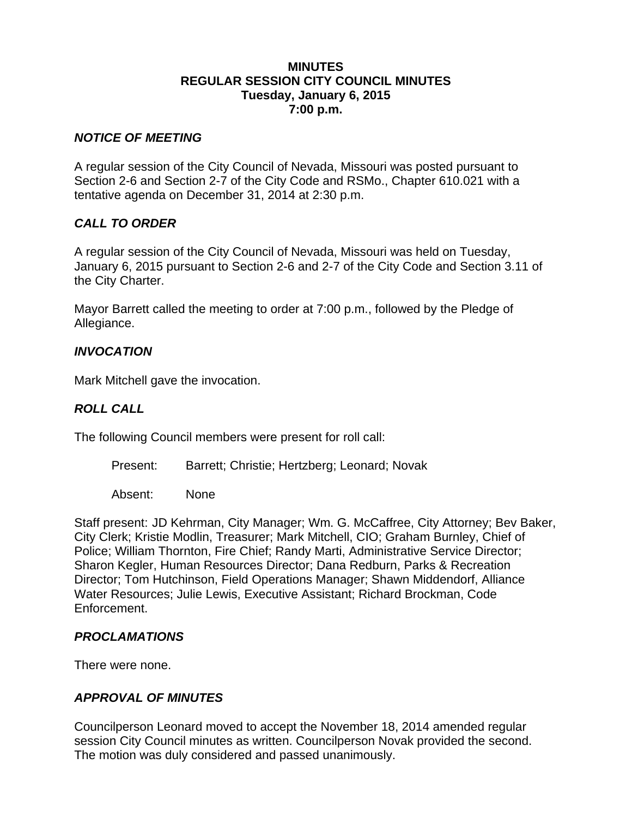#### **MINUTES REGULAR SESSION CITY COUNCIL MINUTES Tuesday, January 6, 2015 7:00 p.m.**

#### *NOTICE OF MEETING*

A regular session of the City Council of Nevada, Missouri was posted pursuant to Section 2-6 and Section 2-7 of the City Code and RSMo., Chapter 610.021 with a tentative agenda on December 31, 2014 at 2:30 p.m.

### *CALL TO ORDER*

A regular session of the City Council of Nevada, Missouri was held on Tuesday, January 6, 2015 pursuant to Section 2-6 and 2-7 of the City Code and Section 3.11 of the City Charter.

Mayor Barrett called the meeting to order at 7:00 p.m., followed by the Pledge of Allegiance.

### *INVOCATION*

Mark Mitchell gave the invocation.

## *ROLL CALL*

The following Council members were present for roll call:

Present: Barrett; Christie; Hertzberg; Leonard; Novak

Absent: None

Staff present: JD Kehrman, City Manager; Wm. G. McCaffree, City Attorney; Bev Baker, City Clerk; Kristie Modlin, Treasurer; Mark Mitchell, CIO; Graham Burnley, Chief of Police; William Thornton, Fire Chief; Randy Marti, Administrative Service Director; Sharon Kegler, Human Resources Director; Dana Redburn, Parks & Recreation Director; Tom Hutchinson, Field Operations Manager; Shawn Middendorf, Alliance Water Resources; Julie Lewis, Executive Assistant; Richard Brockman, Code Enforcement.

### *PROCLAMATIONS*

There were none.

### *APPROVAL OF MINUTES*

Councilperson Leonard moved to accept the November 18, 2014 amended regular session City Council minutes as written. Councilperson Novak provided the second. The motion was duly considered and passed unanimously.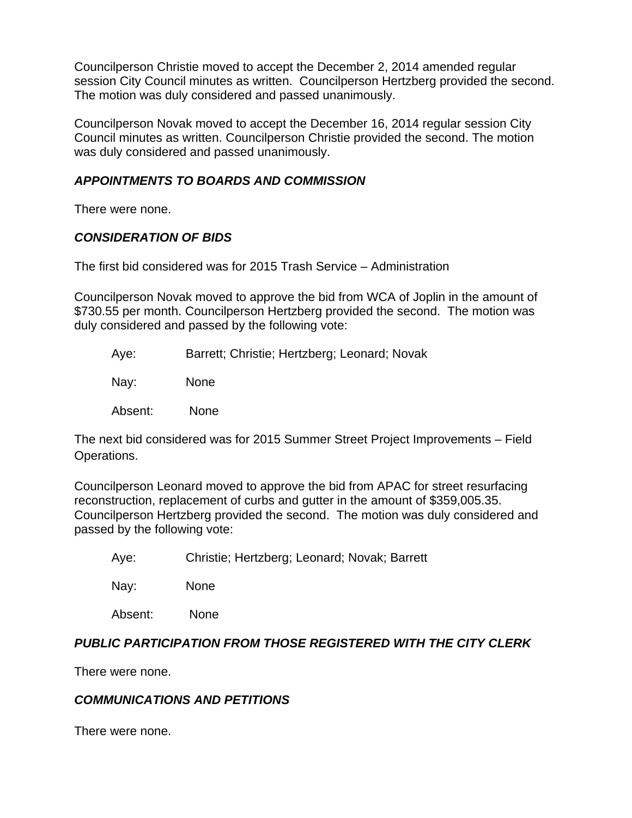Councilperson Christie moved to accept the December 2, 2014 amended regular session City Council minutes as written. Councilperson Hertzberg provided the second. The motion was duly considered and passed unanimously.

Councilperson Novak moved to accept the December 16, 2014 regular session City Council minutes as written. Councilperson Christie provided the second. The motion was duly considered and passed unanimously.

## *APPOINTMENTS TO BOARDS AND COMMISSION*

There were none.

## *CONSIDERATION OF BIDS*

The first bid considered was for 2015 Trash Service – Administration

Councilperson Novak moved to approve the bid from WCA of Joplin in the amount of \$730.55 per month. Councilperson Hertzberg provided the second. The motion was duly considered and passed by the following vote:

Aye: Barrett; Christie; Hertzberg; Leonard; Novak

Nay: None

Absent: None

The next bid considered was for 2015 Summer Street Project Improvements – Field Operations.

Councilperson Leonard moved to approve the bid from APAC for street resurfacing reconstruction, replacement of curbs and gutter in the amount of \$359,005.35. Councilperson Hertzberg provided the second. The motion was duly considered and passed by the following vote:

Aye: Christie; Hertzberg; Leonard; Novak; Barrett

Nay: None

Absent: None

# *PUBLIC PARTICIPATION FROM THOSE REGISTERED WITH THE CITY CLERK*

There were none.

### *COMMUNICATIONS AND PETITIONS*

There were none.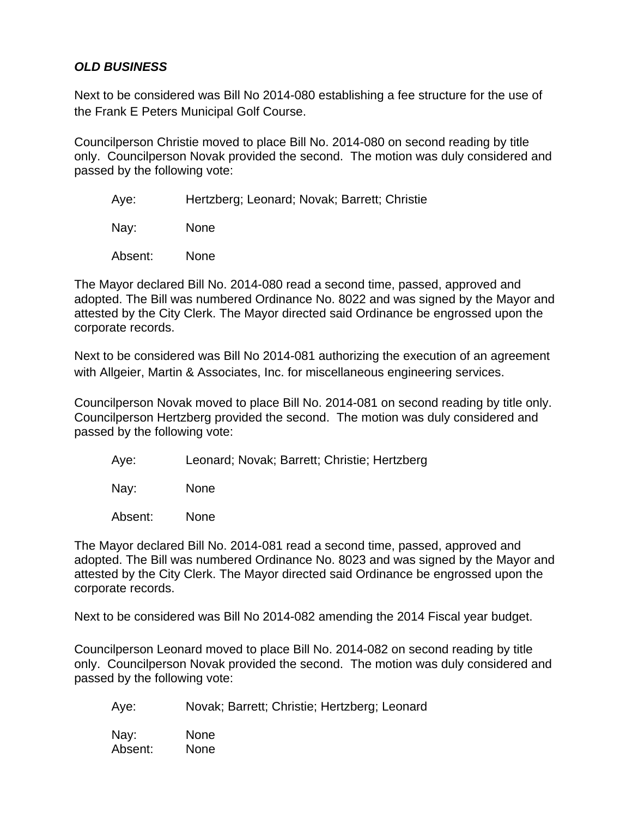## *OLD BUSINESS*

Next to be considered was Bill No 2014-080 establishing a fee structure for the use of the Frank E Peters Municipal Golf Course.

Councilperson Christie moved to place Bill No. 2014-080 on second reading by title only. Councilperson Novak provided the second. The motion was duly considered and passed by the following vote:

Aye: Hertzberg; Leonard; Novak; Barrett; Christie

Nay: None

Absent: None

The Mayor declared Bill No. 2014-080 read a second time, passed, approved and adopted. The Bill was numbered Ordinance No. 8022 and was signed by the Mayor and attested by the City Clerk. The Mayor directed said Ordinance be engrossed upon the corporate records.

Next to be considered was Bill No 2014-081 authorizing the execution of an agreement with Allgeier, Martin & Associates, Inc. for miscellaneous engineering services.

Councilperson Novak moved to place Bill No. 2014-081 on second reading by title only. Councilperson Hertzberg provided the second. The motion was duly considered and passed by the following vote:

Aye: Leonard; Novak; Barrett; Christie; Hertzberg

Nay: None

Absent: None

The Mayor declared Bill No. 2014-081 read a second time, passed, approved and adopted. The Bill was numbered Ordinance No. 8023 and was signed by the Mayor and attested by the City Clerk. The Mayor directed said Ordinance be engrossed upon the corporate records.

Next to be considered was Bill No 2014-082 amending the 2014 Fiscal year budget.

Councilperson Leonard moved to place Bill No. 2014-082 on second reading by title only. Councilperson Novak provided the second. The motion was duly considered and passed by the following vote:

Aye: Novak; Barrett; Christie; Hertzberg; Leonard

Nay: None Absent: None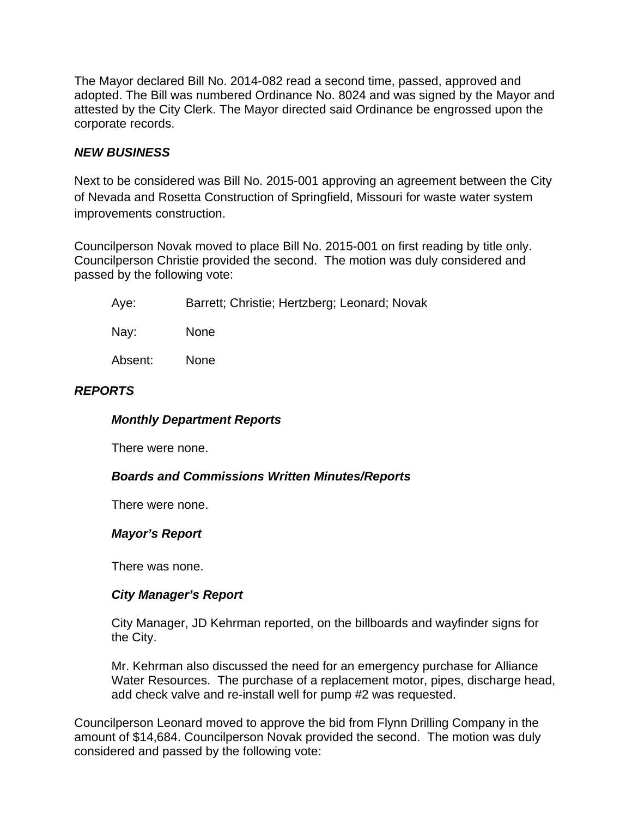The Mayor declared Bill No. 2014-082 read a second time, passed, approved and adopted. The Bill was numbered Ordinance No. 8024 and was signed by the Mayor and attested by the City Clerk. The Mayor directed said Ordinance be engrossed upon the corporate records.

## *NEW BUSINESS*

Next to be considered was Bill No. 2015-001 approving an agreement between the City of Nevada and Rosetta Construction of Springfield, Missouri for waste water system improvements construction.

Councilperson Novak moved to place Bill No. 2015-001 on first reading by title only. Councilperson Christie provided the second. The motion was duly considered and passed by the following vote:

| Aye: | Barrett; Christie; Hertzberg; Leonard; Novak |
|------|----------------------------------------------|
|------|----------------------------------------------|

Nay: None

Absent: None

# *REPORTS*

### *Monthly Department Reports*

There were none.

### *Boards and Commissions Written Minutes/Reports*

There were none.

### *Mayor's Report*

There was none.

### *City Manager's Report*

City Manager, JD Kehrman reported, on the billboards and wayfinder signs for the City.

Mr. Kehrman also discussed the need for an emergency purchase for Alliance Water Resources. The purchase of a replacement motor, pipes, discharge head, add check valve and re-install well for pump #2 was requested.

Councilperson Leonard moved to approve the bid from Flynn Drilling Company in the amount of \$14,684. Councilperson Novak provided the second. The motion was duly considered and passed by the following vote: